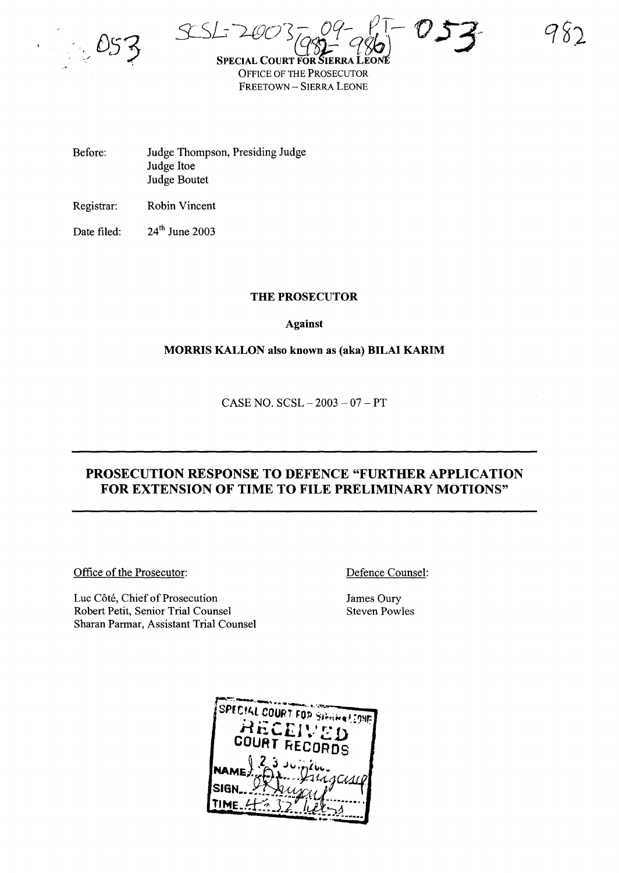5L.Sf--;~os- *09-* f.T~ *'0*S3".:~ *(q9t)-* qiJ,'\ .•

18)

**SPECIAL COUR** OFFICE OF THE PROSECUTOR FREETOWN - SIERRA LEONE

Before: Judge Thompson, Presiding Judge Judge Itoe Judge Boutet

Registrar: Robin Vincent

Date filed: 24<sup>th</sup> June 2003

### THE PROSECUTOR

Against

### MORRIS KALLON also known as (aka) BILAI KARIM

 $CASE NO. SCSL - 2003 - 07 - PT$ 

## PROSECUTION RESPONSE TO DEFENCE "FURTHER APPLICATION FOR EXTENSION OF TIME TO FILE PRELIMINARY MOTIONS"

Office of the Prosecutor:

Luc Côté, Chief of Prosecution Robert Petit, Senior Trial Counsel Sharan Parmar, Assistant Trial Counsel Defence Counsel:

James Oury Steven Powles

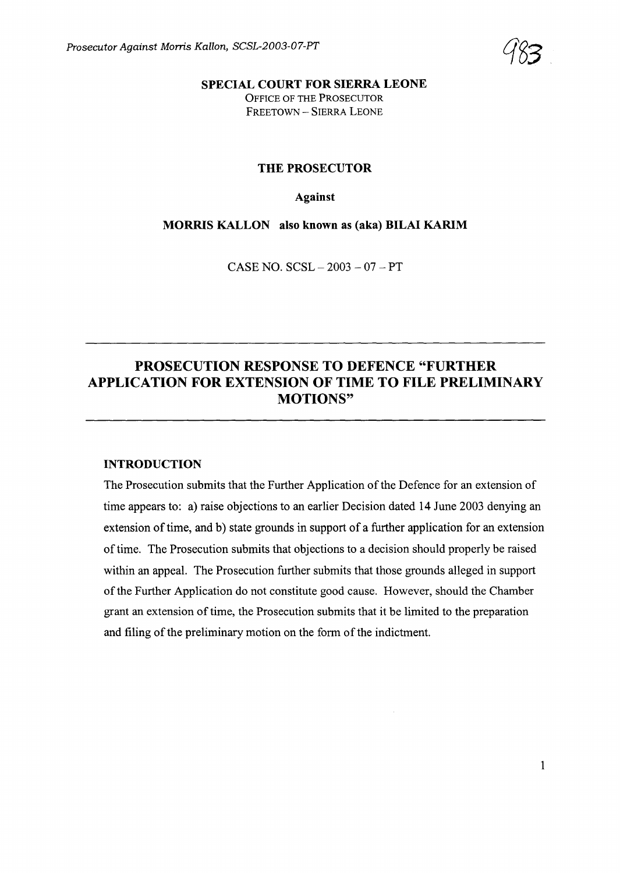

SPECIAL COURT FOR SIERRA LEONE OFFICE OF THE PROSECUTOR FREETOWN - SIERRA LEONE

#### THE PROSECUTOR

#### Against

MORRIS KALLON also known as (aka) BILAI KARIM

CASE NO. SCSL - 2003 - 07 - PT

# PROSECUTION RESPONSE TO DEFENCE "FURTHER APPLICATION FOR EXTENSION OF TIME TO FILE PRELIMINARY MOTIONS"

#### INTRODUCTION

The Prosecution submits that the Further Application of the Defence for an extension of time appears to: a) raise objections to an earlier Decision dated 14 June 2003 denying an extension of time, and b) state grounds in support of a further application for an extension of time. The Prosecution submits that objections to a decision should properly be raised within an appeal. The Prosecution further submits that those grounds alleged in support of the Further Application do not constitute good cause. However, should the Chamber grant an extension of time, the Prosecution submits that it be limited to the preparation and filing of the preliminary motion on the form of the indictment.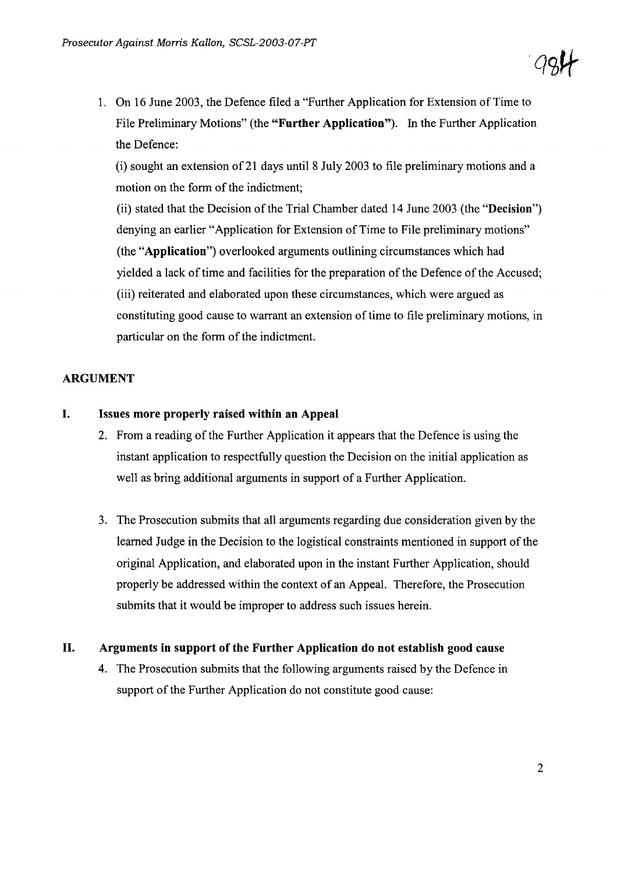1. On 16 June 2003, the Defence filed a "Further Application for Extension ofTime to File Preliminary Motions" (the **"Further Application").** In the Further Application the Defence:

(i) sought an extension of 21 days until 8 July 2003 to file preliminary motions and a motion on the form of the indictment;

(ii) stated that the Decision of the Trial Chamber dated 14 June 2003 (the "**Decision**") denying an earlier "Application for Extension of Time to File preliminary motions" (the **"Application")** overlooked arguments outlining circumstances which had yielded a lack of time and facilities for the preparation of the Defence of the Accused; (iii) reiterated and elaborated upon these circumstances, which were argued as constituting good cause to warrant an extension of time to file preliminary motions, in particular on the form of the indictment.

### **ARGUMENT**

### **I. Issues more properly raised within an Appeal**

- 2. From a reading of the Further Application it appears that the Defence is using the instant application to respectfully question the Decision on the initial application as well as bring additional arguments in support of a Further Application.
- 3. The Prosecution submits that all arguments regarding due consideration given by the learned Judge in the Decision to the logistical constraints mentioned in support of the original Application, and elaborated upon in the instant Further Application, should properly be addressed within the context of an Appeal. Therefore, the Prosecution submits that it would be improper to address such issues herein.

### **II. Arguments in support of the Further Application do not establish good cause**

4. The Prosecution submits that the following arguments raised by the Defence in support of the Further Application do not constitute good cause: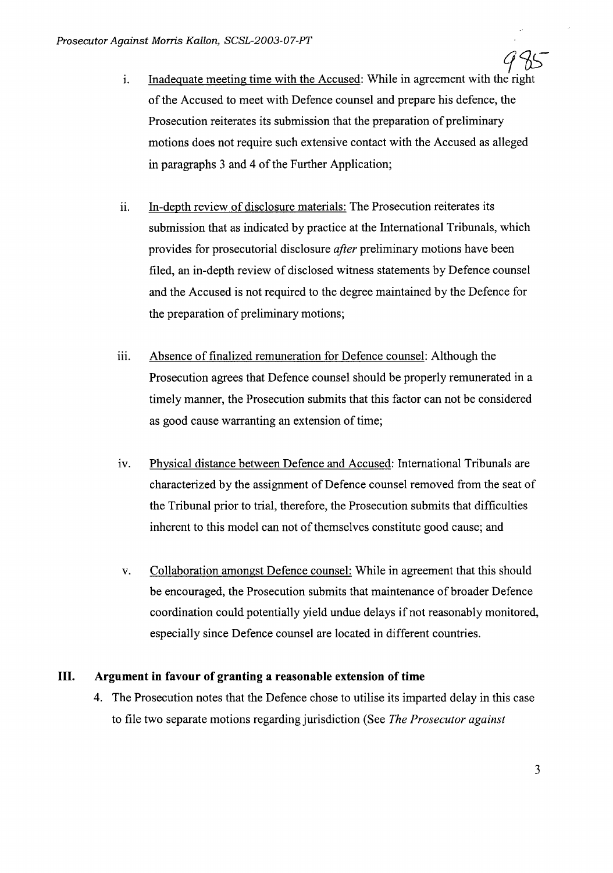- 985 i. Inadequate meeting time with the Accused: While in agreement with the right of the Accused to meet with Defence counsel and prepare his defence, the Prosecution reiterates its submission that the preparation of preliminary motions does not require such extensive contact with the Accused as alleged in paragraphs 3 and 4 of the Further Application;
- ii. In-depth review of disclosure materials: The Prosecution reiterates its submission that as indicated by practice at the International Tribunals, which provides for prosecutorial disclosure *after* preliminary motions have been filed, an in-depth review of disclosed witness statements by Defence counsel and the Accused is not required to the degree maintained by the Defence for the preparation of preliminary motions;
- iii. Absence of finalized remuneration for Defence counsel: Although the Prosecution agrees that Defence counsel should be properly remunerated in a timely manner, the Prosecution submits that this factor can not be considered as good cause warranting an extension of time;
- iv. Physical distance between Defence and Accused: International Tribunals are characterized by the assignment of Defence counsel removed from the seat of the Tribunal prior to trial, therefore, the Prosecution submits that difficulties inherent to this model can not of themselves constitute good cause; and
- v. Collaboration amongst Defence counsel: While in agreement that this should be encouraged, the Prosecution submits that maintenance of broader Defence coordination could potentially yield undue delays if not reasonably monitored, especially since Defence counsel are located in different countries.

### **III. Argument in favour of granting a reasonable extension of time**

4. The Prosecution notes that the Defence chose to utilise its imparted delay in this case to file two separate motions regarding jurisdiction (See *The Prosecutor against*